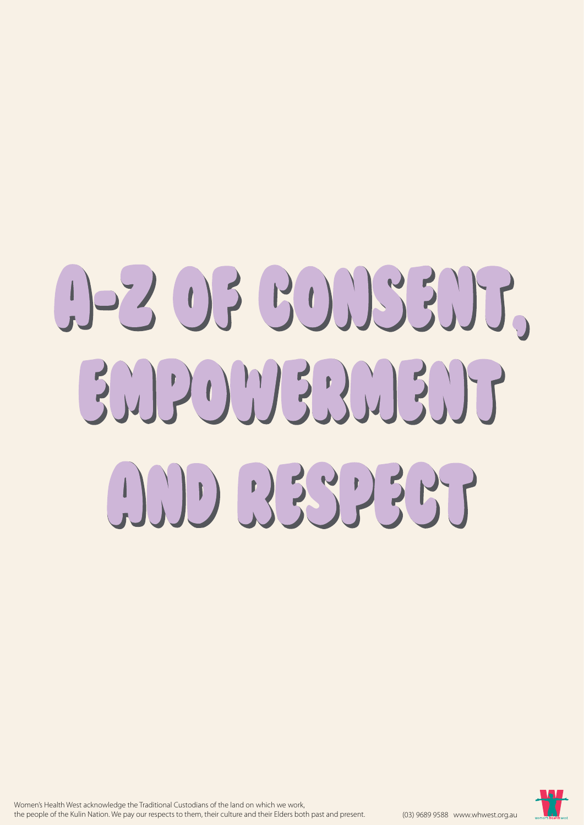# H-2 03 BOUSSUS, 302071330307 000 3337367

Women's Health West acknowledge the Traditional Custodians of the land on which we work, the people of the Kulin Nation. We pay our respects to them, their culture and their Elders both past and present.



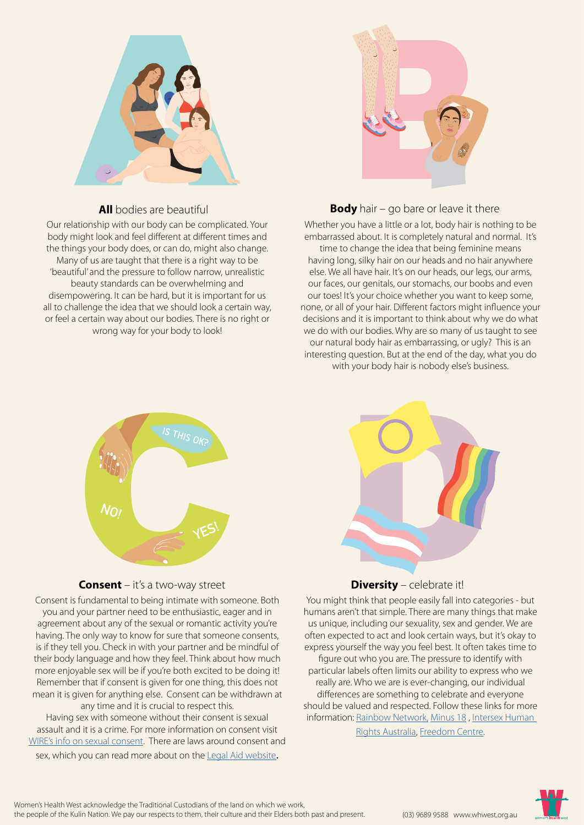

# **All** bodies are beautiful

Our relationship with our body can be complicated. Your body might look and feel different at different times and the things your body does, or can do, might also change. Many of us are taught that there is a right way to be 'beautiful' and the pressure to follow narrow, unrealistic beauty standards can be overwhelming and disempowering. It can be hard, but it is important for us all to challenge the idea that we should look a certain way, or feel a certain way about our bodies. There is no right or wrong way for your body to look!



# **Body** hair – go bare or leave it there

Whether you have a little or a lot, body hair is nothing to be embarrassed about. It is completely natural and normal. It's time to change the idea that being feminine means having long, silky hair on our heads and no hair anywhere else. We all have hair. It's on our heads, our legs, our arms, our faces, our genitals, our stomachs, our boobs and even our toes! It's your choice whether you want to keep some, none, or all of your hair. Different factors might influence your decisions and it is important to think about why we do what we do with our bodies. Why are so many of us taught to see our natural body hair as embarrassing, or ugly? This is an interesting question. But at the end of the day, what you do with your body hair is nobody else's business.



# **Consent** – it's a two-way street

Consent is fundamental to being intimate with someone. Both you and your partner need to be enthusiastic, eager and in agreement about any of the sexual or romantic activity you're having. The only way to know for sure that someone consents, is if they tell you. Check in with your partner and be mindful of their body language and how they feel. Think about how much more enjoyable sex will be if you're both excited to be doing it! Remember that if consent is given for one thing, this does not mean it is given for anything else. Consent can be withdrawn at any time and it is crucial to respect this.

Having sex with someone without their consent is sexual assault and it is a crime. For more information on consent visit [WIRE's info on sexual consent](https://www.wire.org.au/sexual-consent/). There are laws around consent and

sex, which you can read more about on the [Legal Aid website](https://www.legalaid.vic.gov.au/find-legal-answers/sex-and-law).



# **Diversity** – celebrate it!

You might think that people easily fall into categories - but humans aren't that simple. There are many things that make us unique, including our sexuality, sex and gender. We are often expected to act and look certain ways, but it's okay to express yourself the way you feel best. It often takes time to figure out who you are. The pressure to identify with particular labels often limits our ability to express who we really are. Who we are is ever-changing, our individual differences are something to celebrate and everyone should be valued and respected. Follow these links for more information: [Rainbow Network,](http://www.rainbownetwork.com.au/) [Minus 18](https://www.minus18.org.au) , [Intersex Human](https://ihra.org.au/darlington-statement/)  [Rights Australia](https://ihra.org.au/darlington-statement/), [Freedom Centre.](https://www.freedom.org.au/resources)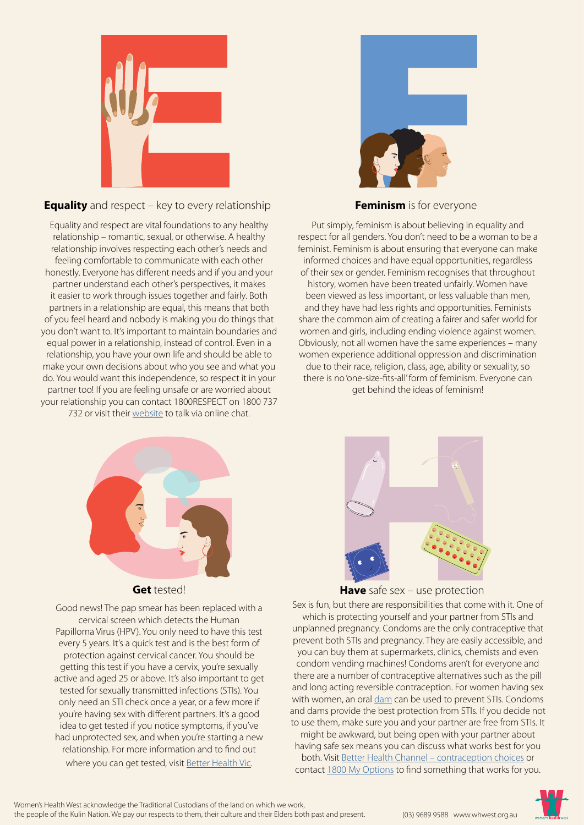

# **Equality** and respect – key to every relationship

Equality and respect are vital foundations to any healthy relationship – romantic, sexual, or otherwise. A healthy relationship involves respecting each other's needs and feeling comfortable to communicate with each other honestly. Everyone has different needs and if you and your partner understand each other's perspectives, it makes it easier to work through issues together and fairly. Both partners in a relationship are equal, this means that both of you feel heard and nobody is making you do things that you don't want to. It's important to maintain boundaries and equal power in a relationship, instead of control. Even in a relationship, you have your own life and should be able to make your own decisions about who you see and what you do. You would want this independence, so respect it in your partner too! If you are feeling unsafe or are worried about your relationship you can contact 1800RESPECT on 1800 737 732 or visit their [website](https://www.1800respect.org.au) to talk via online chat.

# **Feminism** is for everyone

Put simply, feminism is about believing in equality and respect for all genders. You don't need to be a woman to be a feminist. Feminism is about ensuring that everyone can make informed choices and have equal opportunities, regardless of their sex or gender. Feminism recognises that throughout history, women have been treated unfairly. Women have been viewed as less important, or less valuable than men, and they have had less rights and opportunities. Feminists share the common aim of creating a fairer and safer world for women and girls, including ending violence against women. Obviously, not all women have the same experiences – many women experience additional oppression and discrimination due to their race, religion, class, age, ability or sexuality, so there is no 'one-size-fits-all' form of feminism. Everyone can get behind the ideas of feminism!



# **Get** tested!

Good news! The pap smear has been replaced with a cervical screen which detects the Human Papilloma Virus (HPV). You only need to have this test every 5 years. It's a quick test and is the best form of protection against cervical cancer. You should be getting this test if you have a cervix, you're sexually active and aged 25 or above. It's also important to get tested for sexually transmitted infections (STIs). You only need an STI check once a year, or a few more if you're having sex with different partners. It's a good idea to get tested if you notice symptoms, if you've had unprotected sex, and when you're starting a new relationship. For more information and to find out

where you can get tested, visit [Better Health Vic.](https://www.betterhealth.vic.gov.au/campaigns/sti-testing-week)



**Have** safe sex – use protection

Sex is fun, but there are responsibilities that come with it. One of which is protecting yourself and your partner from STIs and unplanned pregnancy. Condoms are the only contraceptive that prevent both STIs and pregnancy. They are easily accessible, and you can buy them at supermarkets, clinics, chemists and even condom vending machines! Condoms aren't for everyone and there are a number of contraceptive alternatives such as the pill and long acting reversible contraception. For women having sex with women, an oral [dam](https://www.youtube.com/watch?v=6tPcqHQzvhw) can be used to prevent STIs. Condoms and dams provide the best protection from STIs. If you decide not to use them, make sure you and your partner are free from STIs. It might be awkward, but being open with your partner about

having safe sex means you can discuss what works best for you both. Visit [Better Health Channel – contraception choices](https://www.betterhealth.vic.gov.au/health/healthyliving/contraception-choices) or contact [1800 My Options](http://www.1800myoptions.org.au/information/contraception) to find something that works for you.

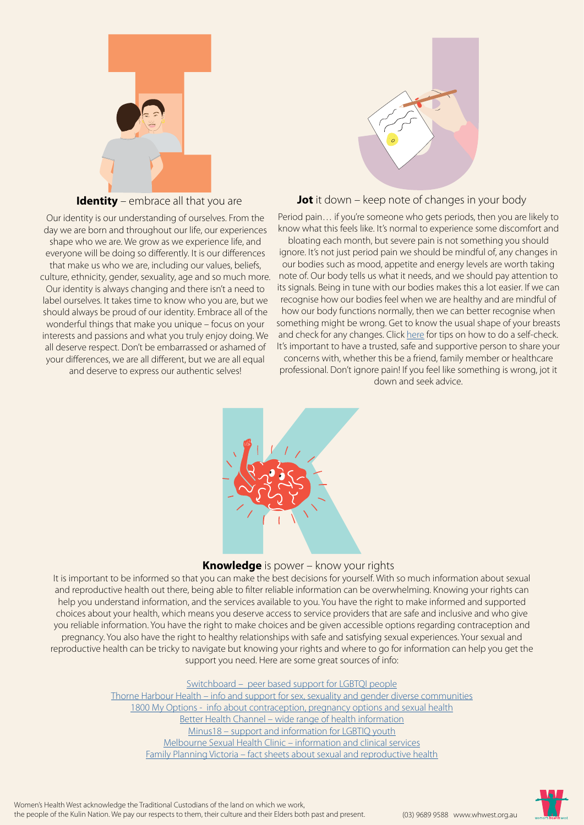

Our identity is our understanding of ourselves. From the day we are born and throughout our life, our experiences shape who we are. We grow as we experience life, and everyone will be doing so differently. It is our differences that make us who we are, including our values, beliefs, culture, ethnicity, gender, sexuality, age and so much more. Our identity is always changing and there isn't a need to label ourselves. It takes time to know who you are, but we should always be proud of our identity. Embrace all of the wonderful things that make you unique – focus on your interests and passions and what you truly enjoy doing. We all deserve respect. Don't be embarrassed or ashamed of your differences, we are all different, but we are all equal and deserve to express our authentic selves!



# **Identity** – embrace all that you are **Jot** it down – keep note of changes in your body

Period pain… if you're someone who gets periods, then you are likely to know what this feels like. It's normal to experience some discomfort and

bloating each month, but severe pain is not something you should ignore. It's not just period pain we should be mindful of, any changes in our bodies such as mood, appetite and energy levels are worth taking note of. Our body tells us what it needs, and we should pay attention to its signals. Being in tune with our bodies makes this a lot easier. If we can recognise how our bodies feel when we are healthy and are mindful of how our body functions normally, then we can better recognise when something might be wrong. Get to know the usual shape of your breasts and check for any changes. Click [here](https://jeanhailes.org.au/contents/documents/Workplaces/breastcheck_poster.pdf) for tips on how to do a self-check. It's important to have a trusted, safe and supportive person to share your concerns with, whether this be a friend, family member or healthcare professional. Don't ignore pain! If you feel like something is wrong, jot it down and seek advice.



# **Knowledge** is power – know your rights

It is important to be informed so that you can make the best decisions for yourself. With so much information about sexual and reproductive health out there, being able to filter reliable information can be overwhelming. Knowing your rights can help you understand information, and the services available to you. You have the right to make informed and supported choices about your health, which means you deserve access to service providers that are safe and inclusive and who give you reliable information. You have the right to make choices and be given accessible options regarding contraception and pregnancy. You also have the right to healthy relationships with safe and satisfying sexual experiences. Your sexual and reproductive health can be tricky to navigate but knowing your rights and where to go for information can help you get the support you need. Here are some great sources of info:

### [Switchboard – peer based support for LGBTQI people](http://www.switchboard.org.au)

[Thorne Harbour Health – info and support for sex, sexuality and gender diverse communities](https://thorneharbour.org/sexual-health/) [1800 My Options - info about contraception, pregnancy options and sexual health](https://www.1800myoptions.org.au) [Better Health Channel – wide range of health information](https://www.betterhealth.vic.gov.au) [Minus18 – support and information for LGBTIQ youth](https://www.minus18.org.au) [Melbourne Sexual Health Clinic – information and clinical services](https://www.mshc.org.au/Home/tabid/1077/Default.aspx) [Family Planning Victoria – fact sheets about sexual and reproductive health](https://www.fpv.org.au/for-you)

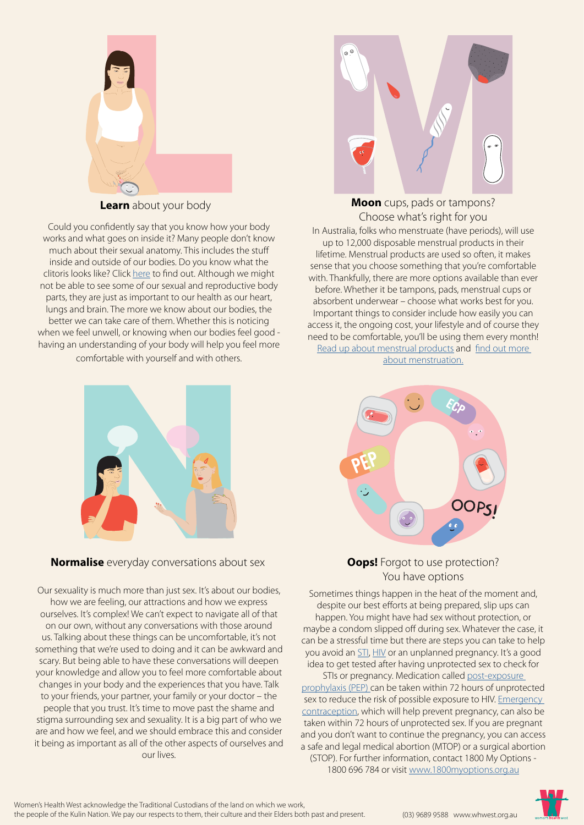

**Learn** about your body

Could you confidently say that you know how your body works and what goes on inside it? Many people don't know much about their sexual anatomy. This includes the stuff inside and outside of our bodies. Do you know what the clitoris looks like? Click [here](https://www.youtube.com/watch?v=zdbD-ApZeFE) to find out. Although we might not be able to see some of our sexual and reproductive body parts, they are just as important to our health as our heart, lungs and brain. The more we know about our bodies, the better we can take care of them. Whether this is noticing when we feel unwell, or knowing when our bodies feel good having an understanding of your body will help you feel more

comfortable with yourself and with others.



# **Normalise** everyday conversations about sex

Our sexuality is much more than just sex. It's about our bodies, how we are feeling, our attractions and how we express ourselves. It's complex! We can't expect to navigate all of that on our own, without any conversations with those around us. Talking about these things can be uncomfortable, it's not something that we're used to doing and it can be awkward and scary. But being able to have these conversations will deepen your knowledge and allow you to feel more comfortable about changes in your body and the experiences that you have. Talk to your friends, your partner, your family or your doctor – the people that you trust. It's time to move past the shame and stigma surrounding sex and sexuality. It is a big part of who we are and how we feel, and we should embrace this and consider it being as important as all of the other aspects of ourselves and our lives.



**Moon** cups, pads or tampons? Choose what's right for you

In Australia, folks who menstruate (have periods), will use up to 12,000 disposable menstrual products in their lifetime. Menstrual products are used so often, it makes sense that you choose something that you're comfortable with. Thankfully, there are more options available than ever before. Whether it be tampons, pads, menstrual cups or absorbent underwear – choose what works best for you. Important things to consider include how easily you can access it, the ongoing cost, your lifestyle and of course they need to be comfortable, you'll be using them every month! [Read up about menstrual products](https://youngwomenshealth.org/2013/03/28/period-products/) and find out more [about menstruation.](https://jeanhailes.org.au/health-a-z/periods/about-the-menstrual-cycle)



# **Oops!** Forgot to use protection? You have options

Sometimes things happen in the heat of the moment and, despite our best efforts at being prepared, slip ups can happen. You might have had sex without protection, or maybe a condom slipped off during sex. Whatever the case, it can be a stressful time but there are steps you can take to help you avoid an [STI](https://www.mshc.org.au/SexualHealthInformation/WhatareSTIs/tabid/107/Default.aspx#.XQCOgC1L2L9), [HIV](https://www.betterhealth.vic.gov.au/health/conditionsandtreatments/hiv-and-aids) or an unplanned pregnancy. It's a good idea to get tested after having unprotected sex to check for STIs or pregnancy. Medication called post-exposure [prophylaxis \(PEP\) c](https://thorneharbour.org/hiv-aids/post-exposure-prophylaxis-pep/)an be taken within 72 hours of unprotected sex to reduce the risk of possible exposure to HIV. Emergency [contraception](https://www.betterhealth.vic.gov.au/health/HealthyLiving/contraception-emergency-contraception), which will help prevent pregnancy, can also be taken within 72 hours of unprotected sex. If you are pregnant and you don't want to continue the pregnancy, you can access a safe and legal medical abortion (MTOP) or a surgical abortion (STOP). For further information, contact 1800 My Options -

1800 696 784 or visit [www.1800myoptions.org.au](https://www.1800myoptions.org.au)

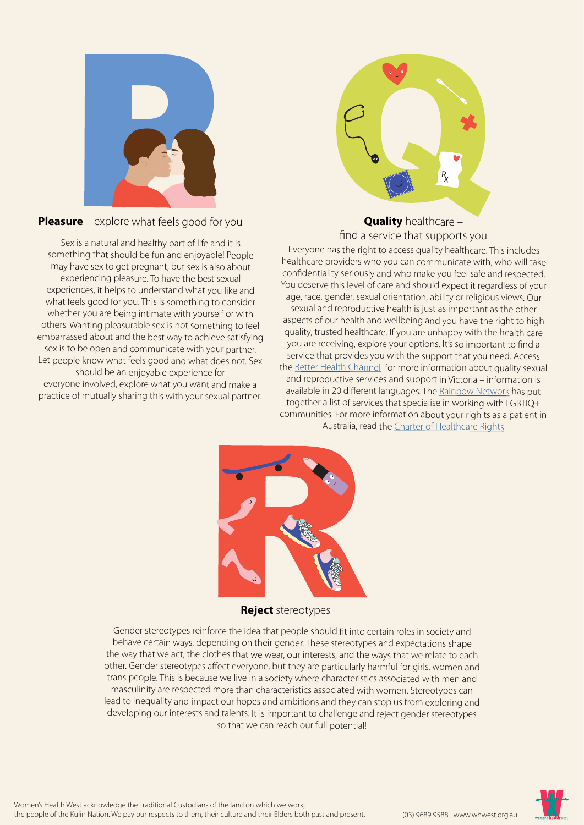

# **Pleasure** – explore what feels good for you

Sex is a natural and healthy part of life and it is something that should be fun and enjoyable! People may have sex to get pregnant, but sex is also about experiencing pleasure. To have the best sexual experiences, it helps to understand what you like and what feels good for you. This is something to consider whether you are being intimate with yourself or with others. Wanting pleasurable sex is not something to feel embarrassed about and the best way to achieve satisfying sex is to be open and communicate with your partner. Let people know what feels good and what does not. Sex should be an enjoyable experience for everyone involved, explore what you want and make a practice of mutually sharing this with your sexual partner.



# **Quality** healthcare – find a service that supports you

Everyone has the right to access quality healthcare. This includes healthcare providers who you can communicate with, who will take confidentiality seriously and who make you feel safe and respected. You deserve this level of care and should expect it regardless of your age, race, gender, sexual orientation, ability or religious views. Our sexual and reproductive health is just as important as the other aspects of our health and wellbeing and you have the right to high quality, trusted healthcare. If you are unhappy with the health care you are receiving, explore your options. It's so important to find a service that provides you with the support that you need. Access the [Better Health Channel](https://www.betterhealth.vic.gov.au/campaigns/womens-sexual-and-reproductive-health) for more information about quality sexual and reproductive services and support in Victoria – information is available in 20 different languages. The [Rainbow Network](http://www.rainbownetwork.com.au) has put together a list of services that specialise in working with LGBTIQ+ communities. For more information about your righ ts as a patient in Australia, read the [Charter of Healthcare Rights](https://www.safetyandquality.gov.au/wp-content/uploads/2012/01/Charter-PDf.pdf)



# **Reject** stereotypes

Gender stereotypes reinforce the idea that people should fit into certain roles in society and behave certain ways, depending on their gender. These stereotypes and expectations shape the way that we act, the clothes that we wear, our interests, and the ways that we relate to each other. Gender stereotypes affect everyone, but they are particularly harmful for girls, women and trans people. This is because we live in a society where characteristics associated with men and masculinity are respected more than characteristics associated with women. Stereotypes can lead to inequality and impact our hopes and ambitions and they can stop us from exploring and developing our interests and talents. It is important to challenge and reject gender stereotypes so that we can reach our full potential!

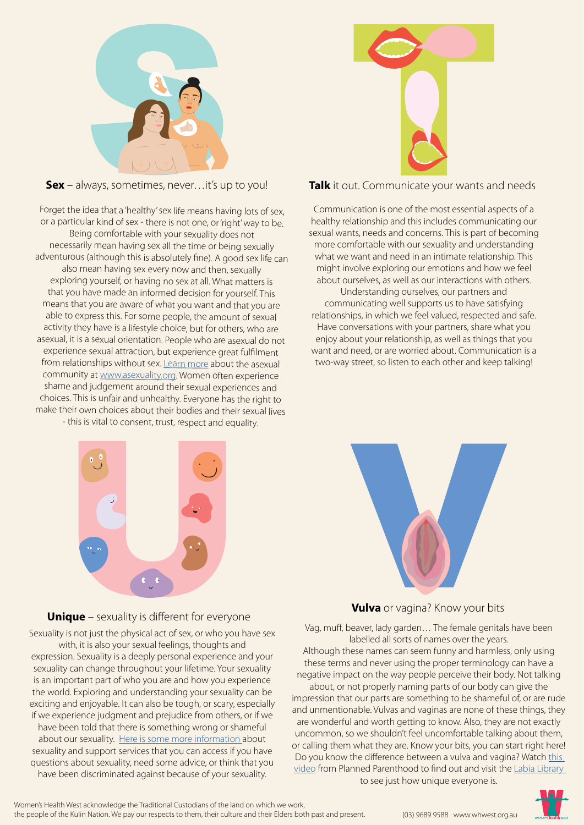

**Sex** – always, sometimes, never... it's up to you!

Forget the idea that a 'healthy' sex life means having lots of sex, or a particular kind of sex - there is not one, or 'right' way to be. Being comfortable with your sexuality does not necessarily mean having sex all the time or being sexually adventurous (although this is absolutely fine). A good sex life can also mean having sex every now and then, sexually exploring yourself, or having no sex at all. What matters is that you have made an informed decision for yourself. This means that you are aware of what you want and that you are able to express this. For some people, the amount of sexual activity they have is a lifestyle choice, but for others, who are asexual, it is a sexual orientation. People who are asexual do not experience sexual attraction, but experience great fulfilment from relationships without sex. [Learn more](https://www.asexuality.org) about the asexual community at [www.asexuality.org](https://www.asexuality.org). Women often experience shame and judgement around their sexual experiences and choices. This is unfair and unhealthy. Everyone has the right to make their own choices about their bodies and their sexual lives - this is vital to consent, trust, respect and equality.



**Unique** – sexuality is different for everyone

Sexuality is not just the physical act of sex, or who you have sex with, it is also your sexual feelings, thoughts and expression. Sexuality is a deeply personal experience and your sexuality can change throughout your lifetime. Your sexuality is an important part of who you are and how you experience the world. Exploring and understanding your sexuality can be exciting and enjoyable. It can also be tough, or scary, especially if we experience judgment and prejudice from others, or if we have been told that there is something wrong or shameful about our sexuality. [Here is some more information](https://www.betterhealth.vic.gov.au/health/healthyliving/Sexuality-explained) about sexuality and support services that you can access if you have questions about sexuality, need some advice, or think that you have been discriminated against because of your sexuality.



# **Talk** it out. Communicate your wants and needs

Communication is one of the most essential aspects of a healthy relationship and this includes communicating our sexual wants, needs and concerns. This is part of becoming more comfortable with our sexuality and understanding what we want and need in an intimate relationship. This might involve exploring our emotions and how we feel about ourselves, as well as our interactions with others. Understanding ourselves, our partners and communicating well supports us to have satisfying relationships, in which we feel valued, respected and safe. Have conversations with your partners, share what you enjoy about your relationship, as well as things that you want and need, or are worried about. Communication is a two-way street, so listen to each other and keep talking!



**Vulva** or vagina? Know your bits

Vag, muff, beaver, lady garden… The female genitals have been labelled all sorts of names over the years.

Although these names can seem funny and harmless, only using these terms and never using the proper terminology can have a negative impact on the way people perceive their body. Not talking about, or not properly naming parts of our body can give the impression that our parts are something to be shameful of, or are rude and unmentionable. Vulvas and vaginas are none of these things, they are wonderful and worth getting to know. Also, they are not exactly uncommon, so we shouldn't feel uncomfortable talking about them, or calling them what they are. Know your bits, you can start right here! Do you know the difference between a vulva and vagina? Watch this [video](https://www.plannedparenthood.org/learn/health-and-wellness/sexual-and-reproductive-anatomy/what-are-parts-female-sexual-anatomy) from Planned Parenthood to find out and visit the [Labia Library](http://www.labialibrary.org.au)  to see just how unique everyone is.

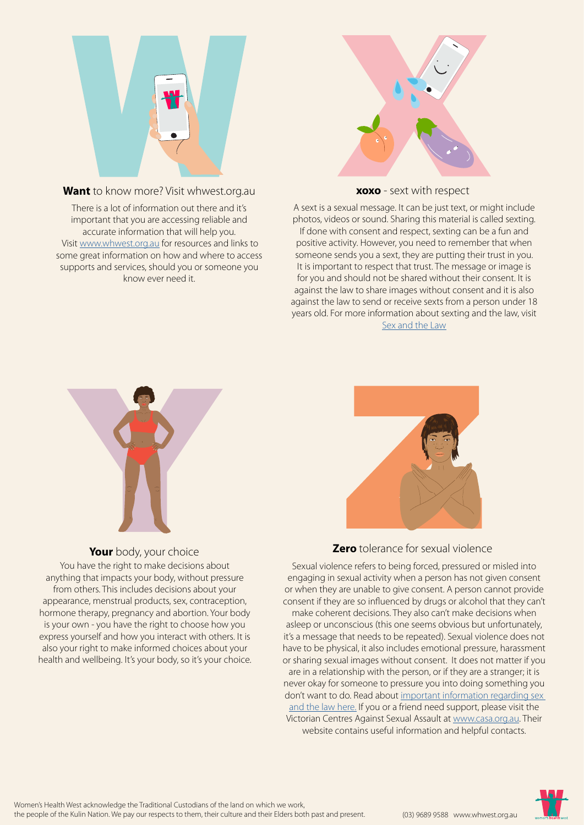

# **Want** to know more? Visit whwest.org.au

There is a lot of information out there and it's important that you are accessing reliable and accurate information that will help you. Visit [www.whwest.org.au](https://whwest.org.au) for resources and links to some great information on how and where to access supports and services, should you or someone you know ever need it.



**xoxo** - sext with respect

A sext is a sexual message. It can be just text, or might include photos, videos or sound. Sharing this material is called sexting. If done with consent and respect, sexting can be a fun and positive activity. However, you need to remember that when someone sends you a sext, they are putting their trust in you. It is important to respect that trust. The message or image is for you and should not be shared without their consent. It is against the law to share images without consent and it is also against the law to send or receive sexts from a person under 18 years old. For more information about sexting and the law, visit [Sex and the Law](http://www.legalaid.vic.gov.au/find-legal-answers/sex-and-law/sexting-and-child-pornography)



# **Your** body, your choice

You have the right to make decisions about anything that impacts your body, without pressure from others. This includes decisions about your appearance, menstrual products, sex, contraception, hormone therapy, pregnancy and abortion. Your body is your own - you have the right to choose how you express yourself and how you interact with others. It is also your right to make informed choices about your health and wellbeing. It's your body, so it's your choice.



# **Zero** tolerance for sexual violence

Sexual violence refers to being forced, pressured or misled into engaging in sexual activity when a person has not given consent or when they are unable to give consent. A person cannot provide consent if they are so influenced by drugs or alcohol that they can't

make coherent decisions. They also can't make decisions when asleep or unconscious (this one seems obvious but unfortunately, it's a message that needs to be repeated). Sexual violence does not have to be physical, it also includes emotional pressure, harassment or sharing sexual images without consent. It does not matter if you are in a relationship with the person, or if they are a stranger; it is never okay for someone to pressure you into doing something you don't want to do. Read about [important information regarding sex](http://www.legalaid.vic.gov.au/find-legal-answers/sex-and-law)  [and the law here.](http://www.legalaid.vic.gov.au/find-legal-answers/sex-and-law) If you or a friend need support, please visit the Victorian Centres Against Sexual Assault at [www.casa.org.au](http://www.casa.org.au). Their website contains useful information and helpful contacts.